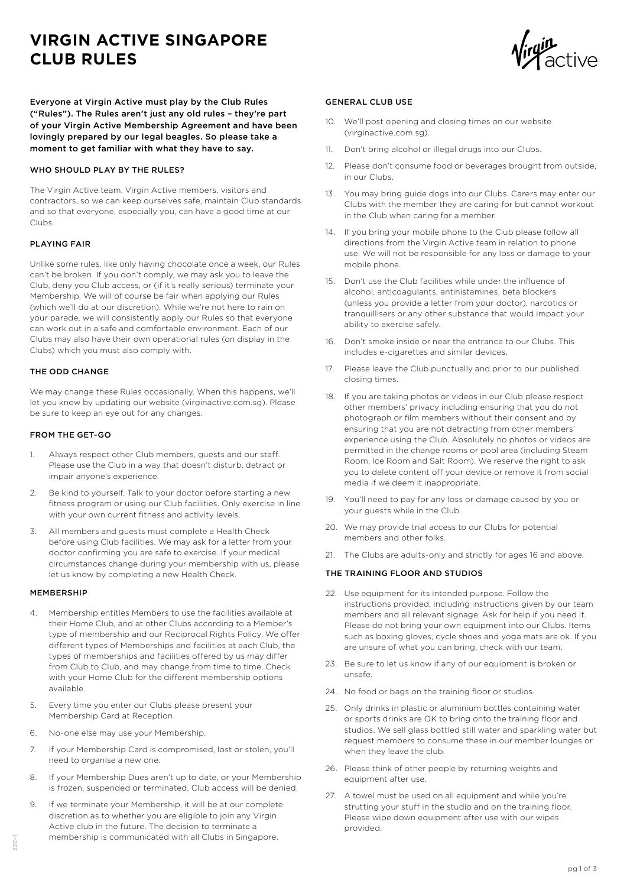# **VIRGIN ACTIVE SINGAPORE CLUB RULES**



Everyone at Virgin Active must play by the Club Rules ("Rules"). The Rules aren't just any old rules – they're part of your Virgin Active Membership Agreement and have been lovingly prepared by our legal beagles. So please take a moment to get familiar with what they have to say.

## WHO SHOULD PLAY BY THE RULES?

The Virgin Active team, Virgin Active members, visitors and contractors, so we can keep ourselves safe, maintain Club standards and so that everyone, especially you, can have a good time at our Clubs.

## PLAYING FAIR

Unlike some rules, like only having chocolate once a week, our Rules can't be broken. If you don't comply, we may ask you to leave the Club, deny you Club access, or (if it's really serious) terminate your Membership. We will of course be fair when applying our Rules (which we'll do at our discretion). While we're not here to rain on your parade, we will consistently apply our Rules so that everyone can work out in a safe and comfortable environment. Each of our Clubs may also have their own operational rules (on display in the Clubs) which you must also comply with.

## THE ODD CHANGE

We may change these Rules occasionally. When this happens, we'll let you know by updating our website (virginactive.com.sg). Please be sure to keep an eye out for any changes.

## FROM THE GET-GO

- 1. Always respect other Club members, guests and our staff. Please use the Club in a way that doesn't disturb, detract or impair anyone's experience.
- 2. Be kind to yourself. Talk to your doctor before starting a new fitness program or using our Club facilities. Only exercise in line with your own current fitness and activity levels.
- 3. All members and guests must complete a Health Check before using Club facilities. We may ask for a letter from your doctor confirming you are safe to exercise. If your medical circumstances change during your membership with us, please let us know by completing a new Health Check.

#### MEMBERSHIP

- 4. Membership entitles Members to use the facilities available at their Home Club, and at other Clubs according to a Member's type of membership and our Reciprocal Rights Policy. We offer different types of Memberships and facilities at each Club, the types of memberships and facilities offered by us may differ from Club to Club, and may change from time to time. Check with your Home Club for the different membership options available.
- 5. Every time you enter our Clubs please present your Membership Card at Reception.
- 6. No-one else may use your Membership.
- 7. If your Membership Card is compromised, lost or stolen, you'll need to organise a new one.
- 8. If your Membership Dues aren't up to date, or your Membership is frozen, suspended or terminated, Club access will be denied.
- 9. If we terminate your Membership, it will be at our complete discretion as to whether you are eligible to join any Virgin Active club in the future. The decision to terminate a membership is communicated with all Clubs in Singapore.

# GENERAL CLUB USE

- 10. We'll post opening and closing times on our website (virginactive.com.sg).
- 11. Don't bring alcohol or illegal drugs into our Clubs.
- 12. Please don't consume food or beverages brought from outside, in our Clubs.
- 13. You may bring guide dogs into our Clubs. Carers may enter our Clubs with the member they are caring for but cannot workout in the Club when caring for a member.
- 14. If you bring your mobile phone to the Club please follow all directions from the Virgin Active team in relation to phone use. We will not be responsible for any loss or damage to your mobile phone.
- 15. Don't use the Club facilities while under the influence of alcohol, anticoagulants, antihistamines, beta blockers (unless you provide a letter from your doctor), narcotics or tranquillisers or any other substance that would impact your ability to exercise safely.
- 16. Don't smoke inside or near the entrance to our Clubs. This includes e-cigarettes and similar devices.
- 17. Please leave the Club punctually and prior to our published closing times.
- 18. If you are taking photos or videos in our Club please respect other members' privacy including ensuring that you do not photograph or film members without their consent and by ensuring that you are not detracting from other members' experience using the Club. Absolutely no photos or videos are permitted in the change rooms or pool area (including Steam Room, Ice Room and Salt Room). We reserve the right to ask you to delete content off your device or remove it from social media if we deem it inappropriate.
- 19. You'll need to pay for any loss or damage caused by you or your guests while in the Club.
- 20. We may provide trial access to our Clubs for potential members and other folks.
- 21. The Clubs are adults-only and strictly for ages 16 and above.

## THE TRAINING FLOOR AND STUDIOS

- 22. Use equipment for its intended purpose. Follow the instructions provided, including instructions given by our team members and all relevant signage. Ask for help if you need it. Please do not bring your own equipment into our Clubs. Items such as boxing gloves, cycle shoes and yoga mats are ok. If you are unsure of what you can bring, check with our team.
- 23. Be sure to let us know if any of our equipment is broken or unsafe.
- 24. No food or bags on the training floor or studios.
- 25. Only drinks in plastic or aluminium bottles containing water or sports drinks are OK to bring onto the training floor and studios. We sell glass bottled still water and sparkling water but request members to consume these in our member lounges or when they leave the club.
- 26. Please think of other people by returning weights and equipment after use.
- 27. A towel must be used on all equipment and while you're strutting your stuff in the studio and on the training floor. Please wipe down equipment after use with our wipes provided.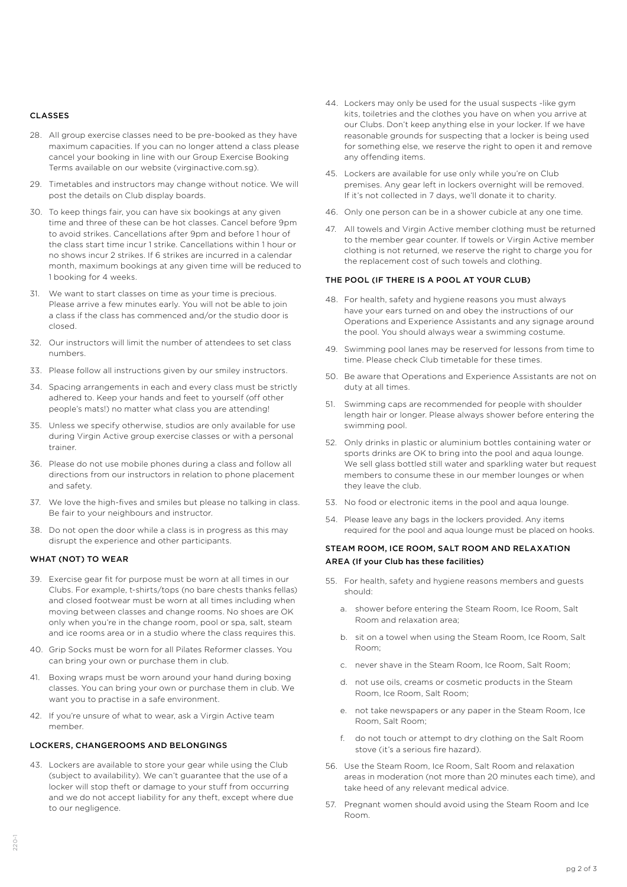### CLASSES

- 28. All group exercise classes need to be pre-booked as they have maximum capacities. If you can no longer attend a class please cancel your booking in line with our Group Exercise Booking Terms available on our website (virginactive.com.sg).
- 29. Timetables and instructors may change without notice. We will post the details on Club display boards.
- 30. To keep things fair, you can have six bookings at any given time and three of these can be hot classes. Cancel before 9pm to avoid strikes. Cancellations after 9pm and before 1 hour of the class start time incur 1 strike. Cancellations within 1 hour or no shows incur 2 strikes. If 6 strikes are incurred in a calendar month, maximum bookings at any given time will be reduced to 1 booking for 4 weeks.
- 31. We want to start classes on time as your time is precious. Please arrive a few minutes early. You will not be able to join a class if the class has commenced and/or the studio door is closed.
- 32. Our instructors will limit the number of attendees to set class numbers.
- 33. Please follow all instructions given by our smiley instructors.
- 34. Spacing arrangements in each and every class must be strictly adhered to. Keep your hands and feet to yourself (off other people's mats!) no matter what class you are attending!
- 35. Unless we specify otherwise, studios are only available for use during Virgin Active group exercise classes or with a personal trainer.
- 36. Please do not use mobile phones during a class and follow all directions from our instructors in relation to phone placement and safety.
- 37. We love the high-fives and smiles but please no talking in class. Be fair to your neighbours and instructor.
- 38. Do not open the door while a class is in progress as this may disrupt the experience and other participants.

## WHAT (NOT) TO WEAR

- 39. Exercise gear fit for purpose must be worn at all times in our Clubs. For example, t-shirts/tops (no bare chests thanks fellas) and closed footwear must be worn at all times including when moving between classes and change rooms. No shoes are OK only when you're in the change room, pool or spa, salt, steam and ice rooms area or in a studio where the class requires this.
- 40. Grip Socks must be worn for all Pilates Reformer classes. You can bring your own or purchase them in club.
- 41. Boxing wraps must be worn around your hand during boxing classes. You can bring your own or purchase them in club. We want you to practise in a safe environment.
- 42. If you're unsure of what to wear, ask a Virgin Active team member.

### LOCKERS, CHANGEROOMS AND BELONGINGS

43. Lockers are available to store your gear while using the Club (subject to availability). We can't guarantee that the use of a locker will stop theft or damage to your stuff from occurring and we do not accept liability for any theft, except where due to our negligence.

- 44. Lockers may only be used for the usual suspects -like gym kits, toiletries and the clothes you have on when you arrive at our Clubs. Don't keep anything else in your locker. If we have reasonable grounds for suspecting that a locker is being used for something else, we reserve the right to open it and remove any offending items.
- 45. Lockers are available for use only while you're on Club premises. Any gear left in lockers overnight will be removed. If it's not collected in 7 days, we'll donate it to charity.
- 46. Only one person can be in a shower cubicle at any one time.
- 47. All towels and Virgin Active member clothing must be returned to the member gear counter. If towels or Virgin Active member clothing is not returned, we reserve the right to charge you for the replacement cost of such towels and clothing.

#### THE POOL (IF THERE IS A POOL AT YOUR CLUB)

- 48. For health, safety and hygiene reasons you must always have your ears turned on and obey the instructions of our Operations and Experience Assistants and any signage around the pool. You should always wear a swimming costume.
- 49. Swimming pool lanes may be reserved for lessons from time to time. Please check Club timetable for these times.
- 50. Be aware that Operations and Experience Assistants are not on duty at all times.
- 51. Swimming caps are recommended for people with shoulder length hair or longer. Please always shower before entering the swimming pool.
- 52. Only drinks in plastic or aluminium bottles containing water or sports drinks are OK to bring into the pool and aqua lounge. We sell glass bottled still water and sparkling water but request members to consume these in our member lounges or when they leave the club.
- 53. No food or electronic items in the pool and aqua lounge.
- 54. Please leave any bags in the lockers provided. Any items required for the pool and aqua lounge must be placed on hooks.

## STEAM ROOM, ICE ROOM, SALT ROOM AND RELAXATION AREA (If your Club has these facilities)

- 55. For health, safety and hygiene reasons members and guests should:
	- a. shower before entering the Steam Room, Ice Room, Salt Room and relaxation area;
	- b. sit on a towel when using the Steam Room, Ice Room, Salt Room;
	- c. never shave in the Steam Room, Ice Room, Salt Room;
	- d. not use oils, creams or cosmetic products in the Steam Room, Ice Room, Salt Room;
	- e. not take newspapers or any paper in the Steam Room, Ice Room, Salt Room;
	- f. do not touch or attempt to dry clothing on the Salt Room stove (it's a serious fire hazard).
- 56. Use the Steam Room, Ice Room, Salt Room and relaxation areas in moderation (not more than 20 minutes each time), and take heed of any relevant medical advice.
- 57. Pregnant women should avoid using the Steam Room and Ice Room.